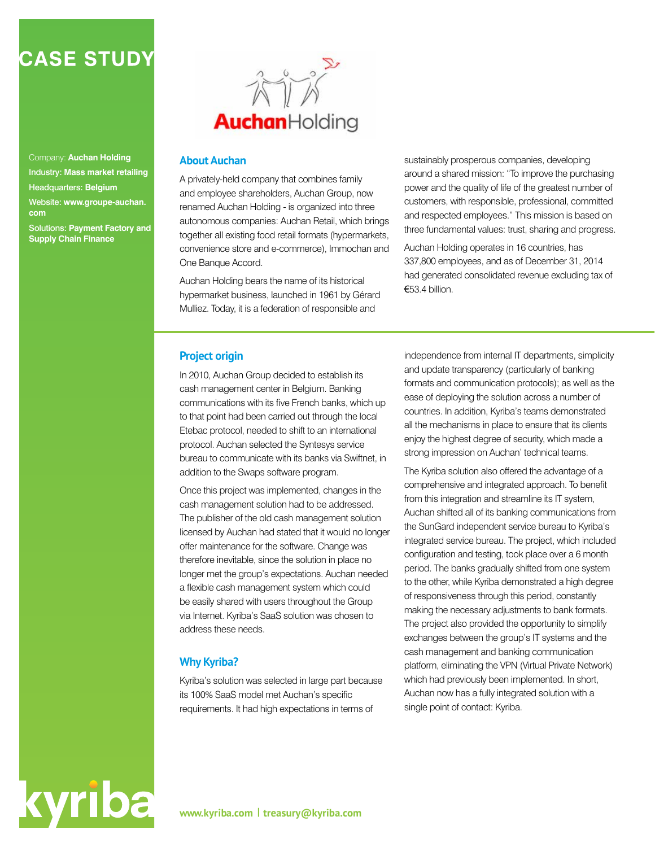# **CASE STUDY**

Company: **Auchan Holding** Industry: **Mass market retailing** Headquarters: **Belgium** Website: **www.groupe-auchan. com** Solutions: **Payment Factory and Supply Chain Finance**

kyriba



#### **About Auchan**

A privately-held company that combines family and employee shareholders, Auchan Group, now renamed Auchan Holding - is organized into three autonomous companies: Auchan Retail, which brings together all existing food retail formats (hypermarkets, convenience store and e-commerce), Immochan and One Banque Accord.

Auchan Holding bears the name of its historical hypermarket business, launched in 1961 by Gérard Mulliez. Today, it is a federation of responsible and

sustainably prosperous companies, developing around a shared mission: "To improve the purchasing power and the quality of life of the greatest number of customers, with responsible, professional, committed and respected employees." This mission is based on three fundamental values: trust, sharing and progress.

Auchan Holding operates in 16 countries, has 337,800 employees, and as of December 31, 2014 had generated consolidated revenue excluding tax of €53.4 billion.

#### **Project origin**

In 2010, Auchan Group decided to establish its cash management center in Belgium. Banking communications with its five French banks, which up to that point had been carried out through the local Etebac protocol, needed to shift to an international protocol. Auchan selected the Syntesys service bureau to communicate with its banks via Swiftnet, in addition to the Swaps software program.

Once this project was implemented, changes in the cash management solution had to be addressed. The publisher of the old cash management solution licensed by Auchan had stated that it would no longer offer maintenance for the software. Change was therefore inevitable, since the solution in place no longer met the group's expectations. Auchan needed a flexible cash management system which could be easily shared with users throughout the Group via Internet. Kyriba's SaaS solution was chosen to address these needs.

#### **Why Kyriba?**

Kyriba's solution was selected in large part because its 100% SaaS model met Auchan's specific requirements. It had high expectations in terms of

independence from internal IT departments, simplicity and update transparency (particularly of banking formats and communication protocols); as well as the ease of deploying the solution across a number of countries. In addition, Kyriba's teams demonstrated all the mechanisms in place to ensure that its clients enjoy the highest degree of security, which made a strong impression on Auchan' technical teams.

The Kyriba solution also offered the advantage of a comprehensive and integrated approach. To benefit from this integration and streamline its IT system, Auchan shifted all of its banking communications from the SunGard independent service bureau to Kyriba's integrated service bureau. The project, which included configuration and testing, took place over a 6 month period. The banks gradually shifted from one system to the other, while Kyriba demonstrated a high degree of responsiveness through this period, constantly making the necessary adjustments to bank formats. The project also provided the opportunity to simplify exchanges between the group's IT systems and the cash management and banking communication platform, eliminating the VPN (Virtual Private Network) which had previously been implemented. In short, Auchan now has a fully integrated solution with a single point of contact: Kyriba.